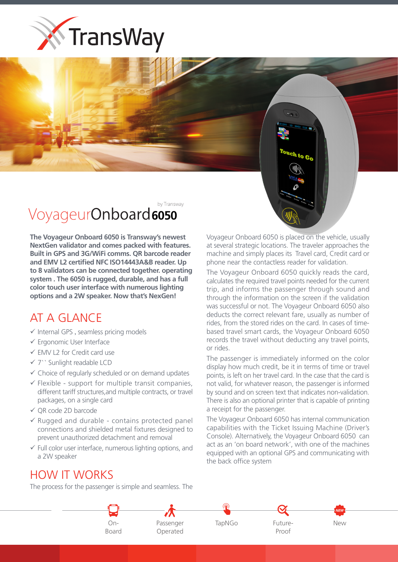



The Voyageur Onboard 6050 is Transway's newest **NextGen validator and comes packed with features. Built in GPS and 3G/WiFi comms. OR barcode reader** and EMV L2 certified NFC ISO14443A&B reader. Up to 8 validators can be connected together. operating system . The 6050 is rugged, durable, and has a full **color touch user interface with numerous lighting** options and a 2W speaker. Now that's NexGen!

## AT A GLANCE

- $\checkmark$  Internal GPS, seamless pricing models
- $\checkmark$  Ergonomic User Interface
- $\checkmark$  EMV L2 for Credit card use
- $\checkmark$  7" Sunlight readable LCD
- $\checkmark$  Choice of regularly scheduled or on demand updates
- $\checkmark$  Flexible support for multiple transit companies, different tariff structures, and multiple contracts, or travel packages, on a single card
- $\checkmark$  OR code 2D barcode
- $\checkmark$  Rugged and durable contains protected panel connections and shielded metal fixtures designed to prevent unauthorized detachment and removal
- $\checkmark$  Full color user interface, numerous lighting options, and a 2W speaker

Voyageur Onboard 6050 is placed on the vehicle, usually at several strategic locations. The traveler approaches the machine and simply places its Travel card, Credit card or phone near the contactless reader for validation.

ouch to Go

The Voyageur Onboard 6050 quickly reads the card, calculates the required travel points needed for the current trip, and informs the passenger through sound and through the information on the screen if the validation was successful or not. The Voyageur Onboard 6050 also deducts the correct relevant fare, usually as number of based travel smart cards, the Voyageur Onboard 6050 rides, from the stored rides on the card. In cases of timerecords the travel without deducting any travel points, or rides.

The passenger is immediately informed on the color display how much credit, be it in terms of time or travel points, is left on her travel card. In the case that the card is not valid, for whatever reason, the passenger is informed by sound and on screen text that indicates non-validation. There is also an optional printer that is capable of printing a receipt for the passenger.

The Voyageur Onboard 6050 has internal communication capabilities with the Ticket Issuing Machine (Driver's Console). Alternatively, the Voyageur Onboard 6050 can act as an 'on board network', with one of the machines equipped with an optional GPS and communicating with the back office system

## **HOW IT WORKS**

The process for the passenger is simple and seamless. The



Operated



Proof

New